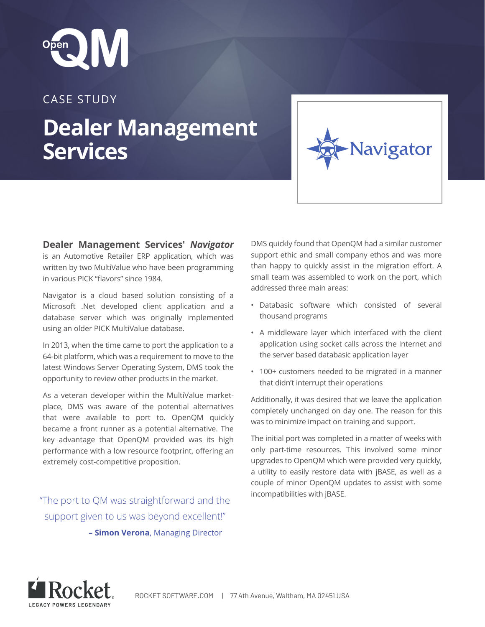

## CASE STUDY

## **Dealer Management Services**

**Dealer Management Services'** *Navigator* is an Automotive Retailer ERP application, which was written by two MultiValue who have been programming in various PICK "flavors" since 1984.

Navigator is a cloud based solution consisting of a Microsoft .Net developed client application and a database server which was originally implemented using an older PICK MultiValue database.

In 2013, when the time came to port the application to a 64-bit platform, which was a requirement to move to the latest Windows Server Operating System, DMS took the opportunity to review other products in the market.

As a veteran developer within the MultiValue marketplace, DMS was aware of the potential alternatives that were available to port to. OpenQM quickly became a front runner as a potential alternative. The key advantage that OpenQM provided was its high performance with a low resource footprint, offering an extremely cost-competitive proposition.

incompatibilities with jBASE. "The port to QM was straightforward and the support given to us was beyond excellent!"  **– Simon Verona**, Managing Director

DMS quickly found that OpenQM had a similar customer support ethic and small company ethos and was more than happy to quickly assist in the migration effort. A small team was assembled to work on the port, which addressed three main areas:

**Javigator** 

- Databasic software which consisted of several thousand programs
- A middleware layer which interfaced with the client application using socket calls across the Internet and the server based databasic application layer
- 100+ customers needed to be migrated in a manner that didn't interrupt their operations

Additionally, it was desired that we leave the application completely unchanged on day one. The reason for this was to minimize impact on training and support.

The initial port was completed in a matter of weeks with only part-time resources. This involved some minor upgrades to OpenQM which were provided very quickly, a utility to easily restore data with jBASE, as well as a couple of minor OpenQM updates to assist with some